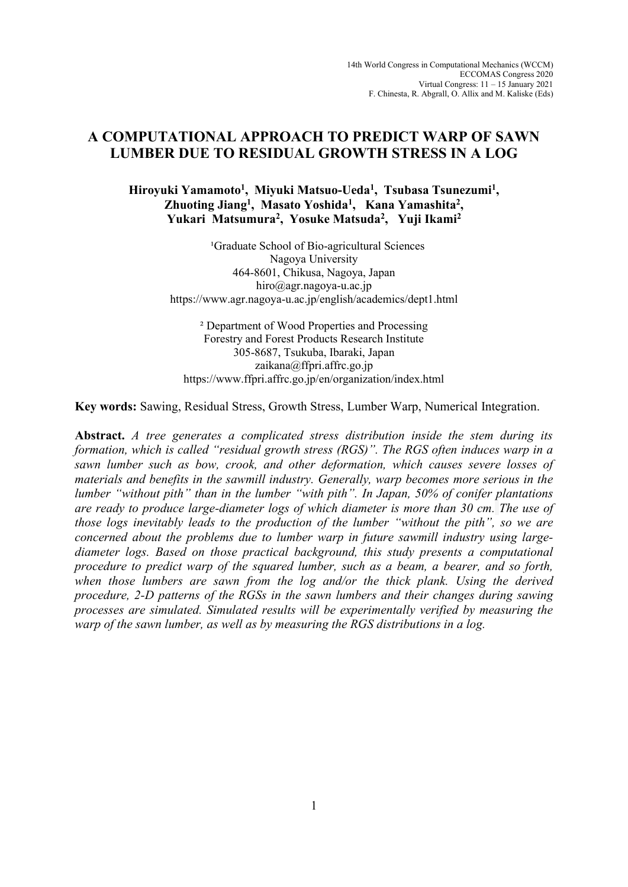# **A COMPUTATIONAL APPROACH TO PREDICT WARP OF SAWN LUMBER DUE TO RESIDUAL GROWTH STRESS IN A LOG**

## **Hiroyuki Yamamoto<sup>1</sup> , Miyuki Matsuo-Ueda<sup>1</sup> , Tsubasa Tsunezumi<sup>1</sup> , Zhuoting Jiang<sup>1</sup> , Masato Yoshida<sup>1</sup> , Kana Yamashita<sup>2</sup> , Yukari Matsumura<sup>2</sup> , Yosuke Matsuda<sup>2</sup> , Yuji Ikami<sup>2</sup>**

<sup>1</sup>Graduate School of Bio-agricultural Sciences Nagoya University 464-8601, Chikusa, Nagoya, Japan hiro@agr.nagoya-u.ac.jp https://www.agr.nagoya-u.ac.jp/english/academics/dept1.html

² Department of Wood Properties and Processing Forestry and Forest Products Research Institute 305-8687, Tsukuba, Ibaraki, Japan zaikana@ffpri.affrc.go.jp https://www.ffpri.affrc.go.jp/en/organization/index.html

**Key words:** Sawing, Residual Stress, Growth Stress, Lumber Warp, Numerical Integration.

**Abstract.** *A tree generates a complicated stress distribution inside the stem during its formation, which is called "residual growth stress (RGS)". The RGS often induces warp in a sawn lumber such as bow, crook, and other deformation, which causes severe losses of materials and benefits in the sawmill industry. Generally, warp becomes more serious in the lumber "without pith" than in the lumber "with pith". In Japan, 50% of conifer plantations are ready to produce large-diameter logs of which diameter is more than 30 cm. The use of those logs inevitably leads to the production of the lumber "without the pith", so we are concerned about the problems due to lumber warp in future sawmill industry using largediameter logs. Based on those practical background, this study presents a computational procedure to predict warp of the squared lumber, such as a beam, a bearer, and so forth,*  when those lumbers are sawn from the log and/or the thick plank. Using the derived *procedure, 2-D patterns of the RGSs in the sawn lumbers and their changes during sawing processes are simulated. Simulated results will be experimentally verified by measuring the warp of the sawn lumber, as well as by measuring the RGS distributions in a log.*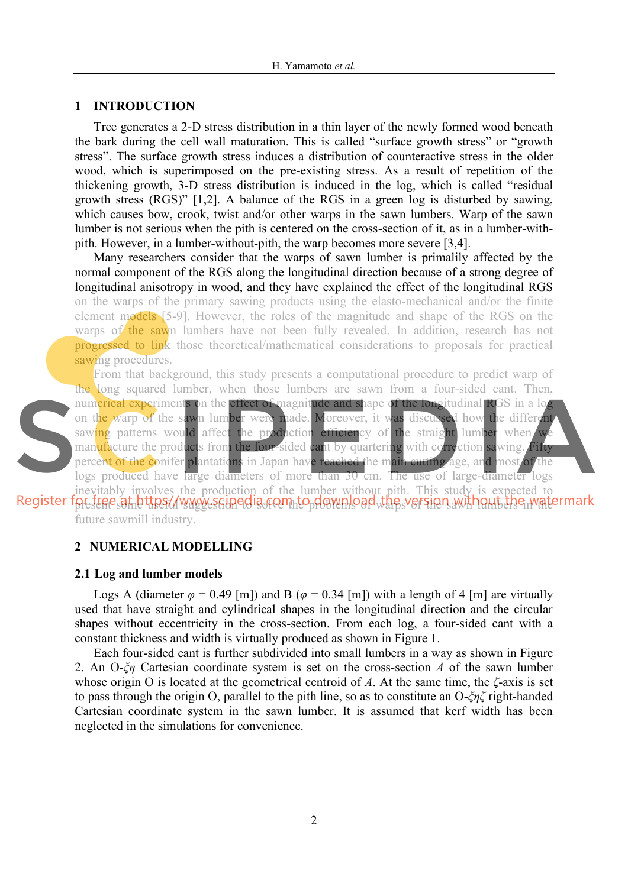### **1 INTRODUCTION**

Tree generates a 2-D stress distribution in a thin layer of the newly formed wood beneath the bark during the cell wall maturation. This is called "surface growth stress" or "growth stress". The surface growth stress induces a distribution of counteractive stress in the older wood, which is superimposed on the pre-existing stress. As a result of repetition of the thickening growth, 3-D stress distribution is induced in the log, which is called "residual growth stress (RGS)" [1,2]. A balance of the RGS in a green log is disturbed by sawing, which causes bow, crook, twist and/or other warps in the sawn lumbers. Warp of the sawn lumber is not serious when the pith is centered on the cross-section of it, as in a lumber-withpith. However, in a lumber-without-pith, the warp becomes more severe [3,4].

Many researchers consider that the warps of sawn lumber is primalily affected by the normal component of the RGS along the longitudinal direction because of a strong degree of longitudinal anisotropy in wood, and they have explained the effect of the longitudinal RGS on the warps of the primary sawing products using the elasto-mechanical and/or the finite element models [5-9]. However, the roles of the magnitude and shape of the RGS on the warps of the sawn lumbers have not been fully revealed. In addition, research has not progressed to link those theoretical/mathematical considerations to proposals for practical sawing procedures.



From that background, this study presents a computational procedure to predict warp of the long squared lumber, when those lumbers are sawn from a four-sided cant. Then, numerical experiments on the effect of magnitude and shape of the longitudinal RGS in a lot on the warp of the sawn lumber were made. Moreover, it was discussed how the different saw<mark>ing</mark> patterns would affect the production efficiency of the straight lumber when we manufacture the products from the four-sided cant by quartering with correction sawing. Fifty percent of the conifer plantations in Japan have reached the main cutting age, and most of the logs produced have large diameters of more than 30 cm. The use of large-diameter logs inevitably involves the production of the lumber without pith. This study is expected to

present some useful suggestion to solve the problems of warps of the sawn lumbers in the future sawmill industry.

## **2 NUMERICAL MODELLING**

#### **2.1 Log and lumber models**

Logs A (diameter  $\varphi$  = 0.49 [m]) and B ( $\varphi$  = 0.34 [m]) with a length of 4 [m] are virtually used that have straight and cylindrical shapes in the longitudinal direction and the circular shapes without eccentricity in the cross-section. From each log, a four-sided cant with a constant thickness and width is virtually produced as shown in Figure 1.

Each four-sided cant is further subdivided into small lumbers in a way as shown in Figure 2. An O*-ξη* Cartesian coordinate system is set on the cross-section *A* of the sawn lumber whose origin O is located at the geometrical centroid of *A*. At the same time, the *ζ*-axis is set to pass through the origin O, parallel to the pith line, so as to constitute an O*-ξηζ* right-handed Cartesian coordinate system in the sawn lumber. It is assumed that kerf width has been neglected in the simulations for convenience.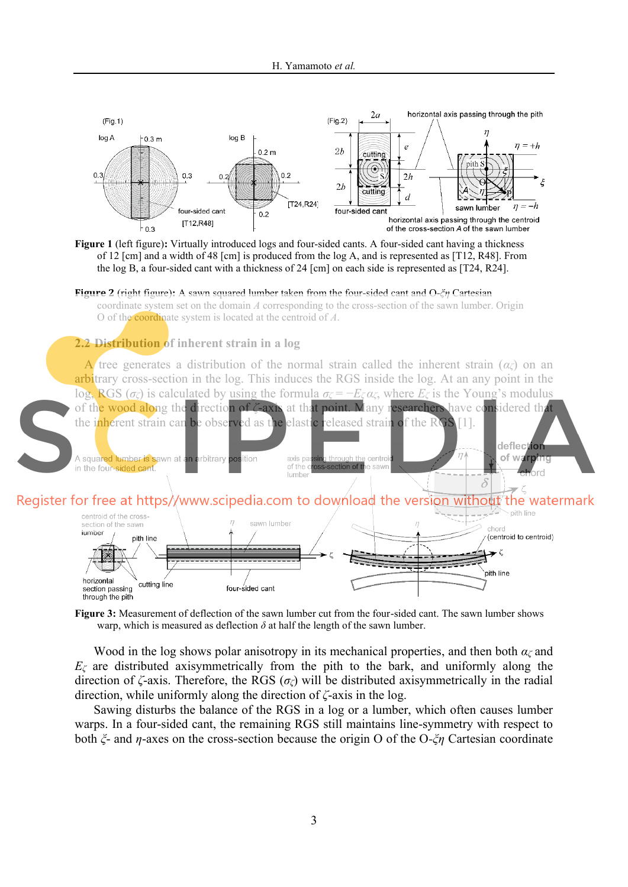

**Figure 1** (left figure)**:** Virtually introduced logs and four-sided cants. A four-sided cant having a thickness of 12 [cm] and a width of 48 [cm] is produced from the log A, and is represented as [T12, R48]. From the log B, a four-sided cant with a thickness of 24 [cm] on each side is represented as [T24, R24].

**Figure 2** (right figure)**:** A sawn squared lumber taken from the four-sided cant and O-*ξη* Cartesian coordinate system set on the domain *A* corresponding to the cross-section of the sawn lumber. Origin O of the coordinate system is located at the centroid of *A*.

## **2.2 Distribution of inherent strain in a log**

A tree generates a distribution of the normal strain called the inherent strain  $(\alpha \alpha)$  on an arbitrary cross-section in the log. This induces the RGS inside the log. At an any point in the log, RGS (*σζ*) is calculated by using the formula  $\sigma_\zeta = -E_\zeta \alpha_\zeta$ , where  $E_\zeta$  is the Young's modulus of the wood along the direction of *ζ*-axis at that point. Many researchers have considered that the inherent strain can be observed as the elastic released strain of the RGS [1].





**Figure 3:** Measurement of deflection of the sawn lumber cut from the four-sided cant. The sawn lumber shows warp, which is measured as deflection  $\delta$  at half the length of the sawn lumber.

Wood in the log shows polar anisotropy in its mechanical properties, and then both *αζ* and  $E_\zeta$  are distributed axisymmetrically from the pith to the bark, and uniformly along the direction of *ζ*-axis. Therefore, the RGS (*σζ*) will be distributed axisymmetrically in the radial direction, while uniformly along the direction of *ζ*-axis in the log.

Sawing disturbs the balance of the RGS in a log or a lumber, which often causes lumber warps. In a four-sided cant, the remaining RGS still maintains line-symmetry with respect to both *ξ*- and *η*-axes on the cross-section because the origin O of the O*-ξη* Cartesian coordinate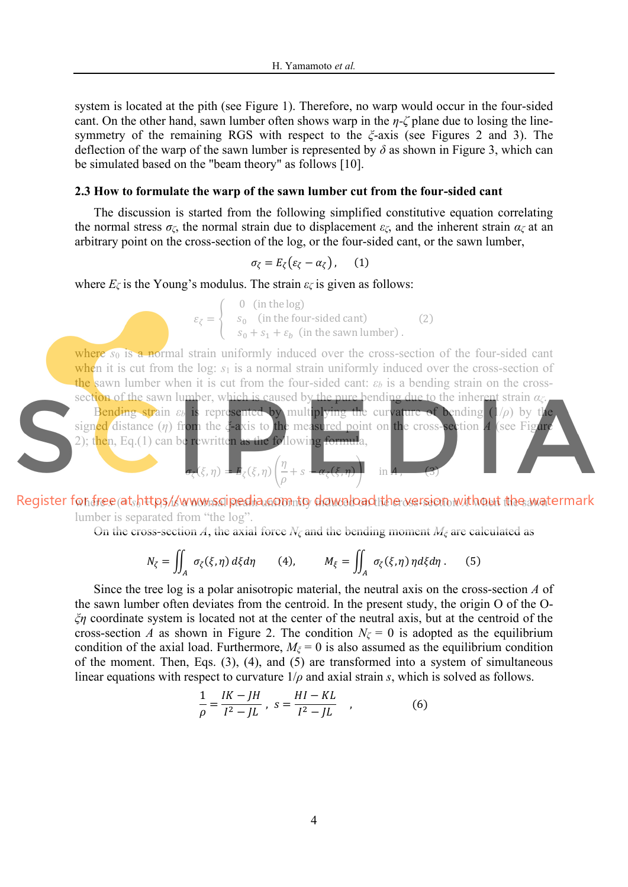system is located at the pith (see Figure 1). Therefore, no warp would occur in the four-sided cant. On the other hand, sawn lumber often shows warp in the *η-ζ* plane due to losing the linesymmetry of the remaining RGS with respect to the *ξ*-axis (see Figures 2 and 3). The deflection of the warp of the sawn lumber is represented by *δ* as shown in Figure 3, which can be simulated based on the "beam theory" as follows [10].

## **2.3 How to formulate the warp of the sawn lumber cut from the four-sided cant**

The discussion is started from the following simplified constitutive equation correlating the normal stress *σζ*, the normal strain due to displacement *εζ*, and the inherent strain *αζ* at an arbitrary point on the cross-section of the log, or the four-sided cant, or the sawn lumber,

$$
\sigma_{\zeta} = E_{\zeta} \big( \varepsilon_{\zeta} - \alpha_{\zeta} \big) \,, \qquad (1)
$$

where  $E_\zeta$  is the Young's modulus. The strain  $\varepsilon_\zeta$  is given as follows:

 $\varepsilon_{\zeta} = \begin{cases} 0 & \text{(in the log)}\\ s_0 & \text{(in the four-sided cant)} \end{cases}$  $s_0 + s_1 + \varepsilon_b$  (in the sawn lumber). (2)

where *s*<sub>0</sub> is a normal strain uniformly induced over the cross-section of the four-sided cant when it is cut from the log:  $s_1$  is a normal strain uniformly induced over the cross-section of the sawn lumber when it is cut from the four-sided cant:  $\varepsilon_b$  is a bending strain on the crosssection of the sawn lumber, which is caused by the pure bending due to the inherent strain *αζ*.

Bending strain *εb* is represented by multiplying the curvature of bending (1/*ρ*) by the signed distance (*η*) from the *ξ*-axis to the measured point on the cross-section *A* (see Figure 2); then, Eq.(1) can be rewritten as the following formula,

$$
\sigma_{\zeta}(\xi,\eta) = E_{\zeta}(\xi,\eta) \left(\frac{\eta}{\rho} + s - \alpha_{\zeta}(\xi,\eta)\right) \quad \text{in } A, \qquad (3)
$$

where *s* (= *s*<sup>0</sup> + *s*1) is a normal strain uniformly induced on the cross-section *A* when the sawn lumber is separated from "the log".

On the cross-section *A*, the axial force  $N_\zeta$  and the bending moment  $M_\zeta$  are calculated as

$$
N_{\zeta} = \iint_{A} \sigma_{\zeta}(\xi, \eta) d\xi d\eta \qquad (4), \qquad M_{\xi} = \iint_{A} \sigma_{\zeta}(\xi, \eta) \eta d\xi d\eta. \qquad (5)
$$

Since the tree log is a polar anisotropic material, the neutral axis on the cross-section *A* of the sawn lumber often deviates from the centroid. In the present study, the origin O of the O*ξη* coordinate system is located not at the center of the neutral axis, but at the centroid of the cross-section *A* as shown in Figure 2. The condition  $N_\zeta = 0$  is adopted as the equilibrium condition of the axial load. Furthermore,  $M_{\zeta} = 0$  is also assumed as the equilibrium condition of the moment. Then, Eqs. (3), (4), and (5) are transformed into a system of simultaneous linear equations with respect to curvature 1/*ρ* and axial strain *s*, which is solved as follows.

$$
\frac{1}{\rho} = \frac{IK - JH}{I^2 - JL}, \ s = \frac{HI - KL}{I^2 - JL}, \qquad (6)
$$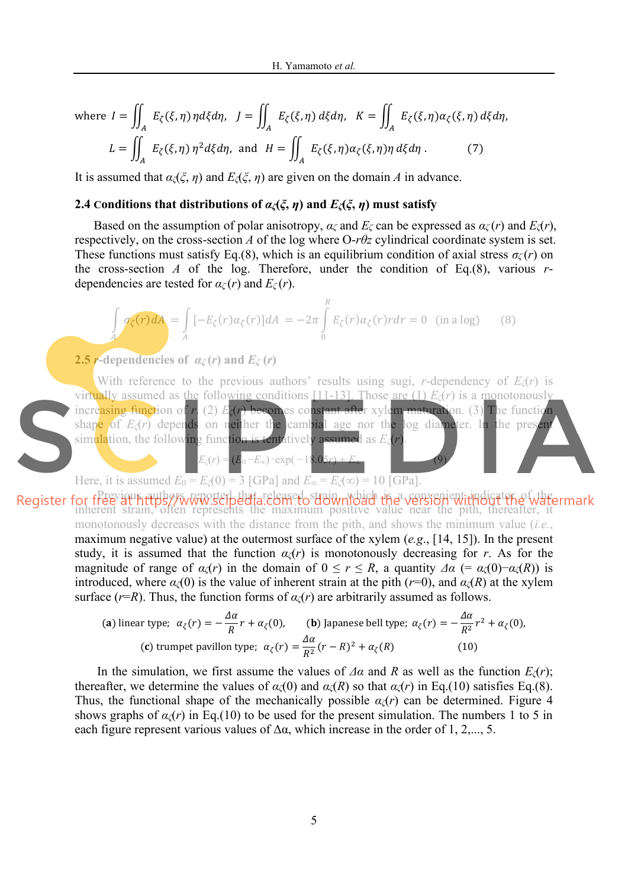where 
$$
I = \iint_A E_{\zeta}(\xi, \eta) \eta d\xi d\eta
$$
,  $J = \iint_A E_{\zeta}(\xi, \eta) d\xi d\eta$ ,  $K = \iint_A E_{\zeta}(\xi, \eta) \alpha_{\zeta}(\xi, \eta) d\xi d\eta$ ,  
\n $L = \iint_A E_{\zeta}(\xi, \eta) \eta^2 d\xi d\eta$ , and  $H = \iint_A E_{\zeta}(\xi, \eta) \alpha_{\zeta}(\xi, \eta) \eta d\xi d\eta$ . (7)

It is assumed that  $\alpha(\xi, \eta)$  and  $E(\xi, \eta)$  are given on the domain *A* in advance.

## **2.4** Conditions that distributions of  $\alpha$ <sub> $\zeta$ ( $\xi$ ,  $\eta$ ) and  $E$  $\zeta$ ( $\xi$ ,  $\eta$ ) must satisfy</sub>

Based on the assumption of polar anisotropy,  $\alpha_\zeta$  and  $E_\zeta$  can be expressed as  $\alpha_\zeta(r)$  and  $E_\zeta(r)$ , respectively, on the cross-section *A* of the log where O-*rθz* cylindrical coordinate system is set. These functions must satisfy Eq.(8), which is an equilibrium condition of axial stress  $\sigma_\zeta(r)$  on the cross-section *A* of the log. Therefore, under the condition of Eq.(8), various  $r$ dependencies are tested for  $\alpha_\zeta(r)$  and  $E_\zeta(r)$ .

$$
\int_{A} \sigma_{\zeta}(r) dA = \int_{A} \left[ -E_{\zeta}(r) \alpha_{\zeta}(r) \right] dA = -2\pi \int_{0}^{R} E_{\zeta}(r) \alpha_{\zeta}(r) r dr = 0 \quad \text{(in a log)} \tag{8}
$$

#### **2.5** *r***-dependencies of**  $a_\zeta(r)$  **and**  $E_\zeta(r)$

 $\triangle$ 

With reference to the previous authors' results using sugi, *r*-dependency of *Eζ*(*r*) is virtually assumed as the following conditions [11-13]. Those are (1) *Eζ*(*r*) is a monotonously increasing function of *r*. (2) *Eζ*(*r*) becomes constant after xylem maturation. (3) The function shape of  $E_\zeta(r)$  depends on neither the cambial age nor the log diameter. In the present simulation, the following function is tentatively assumed as *Eζ*(*r*).

Here, it is assumed  $E_0 = E_\zeta(0) = 3$  [GPa] and  $E_\infty = E_\zeta(\infty) = 10$  [GPa].

 $E_\zeta(r) = (E_0 - E_\infty) \cdot \exp(-18.05r)$ 

Register for free au https://www.scrpedia.ecom.dostrain, which the version without the watermark inherent strain, often represents the maximum positive value near the pith, thereafter, it monotonously decreases with the distance from the pith, and shows the minimum value (*i.e.*, maximum negative value) at the outermost surface of the xylem (*e.g*., [14, 15]). In the present study, it is assumed that the function  $\alpha(x)$  is monotonously decreasing for *r*. As for the magnitude of range of  $\alpha_\zeta(r)$  in the domain of  $0 \le r \le R$ , a quantity  $\Delta \alpha (= \alpha_\zeta(0) - \alpha_\zeta(R))$  is introduced, where  $\alpha_\zeta(0)$  is the value of inherent strain at the pith ( $r=0$ ), and  $\alpha_\zeta(R)$  at the xylem surface ( $r=R$ ). Thus, the function forms of  $\alpha_{\zeta}(r)$  are arbitrarily assumed as follows.

(a) linear type; 
$$
\alpha_{\zeta}(r) = -\frac{\Delta \alpha}{R}r + \alpha_{\zeta}(0)
$$
, **(b)** Japanese bell type;  $\alpha_{\zeta}(r) = -\frac{\Delta \alpha}{R^2}r^2 + \alpha_{\zeta}(0)$ ,  
\n**(c)** trumpet pavillon type;  $\alpha_{\zeta}(r) = \frac{\Delta \alpha}{R^2}(r - R)^2 + \alpha_{\zeta}(R)$  (10)

In the simulation, we first assume the values of  $\Delta \alpha$  and *R* as well as the function  $E_\zeta(r)$ ; thereafter, we determine the values of  $\alpha$ <sub>*ζ*</sub>(0) and  $\alpha$ <sub>*ζ*</sub>(*R*) so that  $\alpha$ <sub>*ζ*</sub>(*r*) in Eq.(10) satisfies Eq.(8). Thus, the functional shape of the mechanically possible  $\alpha$ <sub>*ζ</sub>*(*r*) can be determined. Figure 4</sub> shows graphs of  $\alpha$ <sub>*ζ*</sub>(*r*) in Eq.(10) to be used for the present simulation. The numbers 1 to 5 in each figure represent various values of  $\Delta \alpha$ , which increase in the order of 1, 2,..., 5.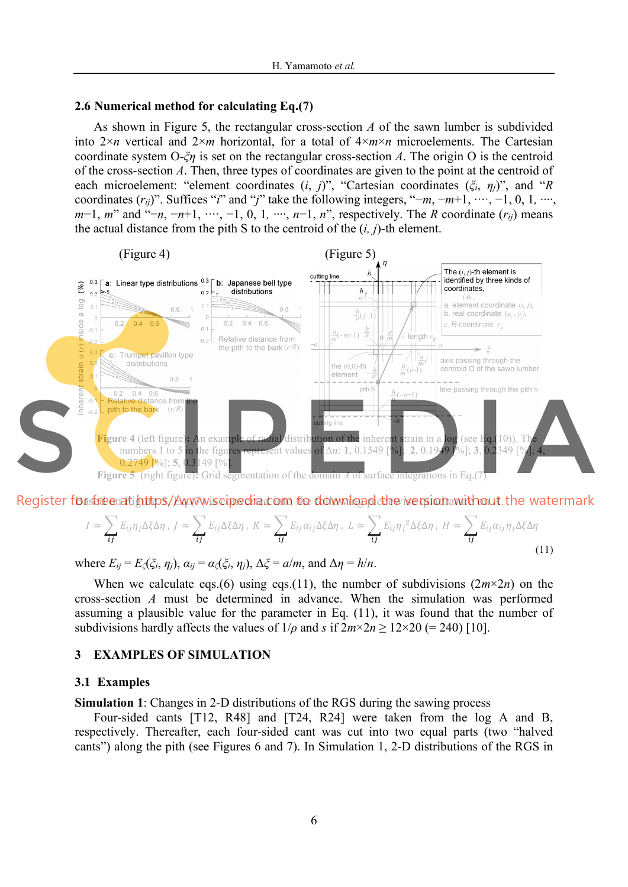### **2.6 Numerical method for calculating Eq.(7)**

As shown in Figure 5, the rectangular cross-section *A* of the sawn lumber is subdivided into  $2 \times n$  vertical and  $2 \times m$  horizontal, for a total of  $4 \times m \times n$  microelements. The Cartesian coordinate system O-*ξη* is set on the rectangular cross-section *A*. The origin O is the centroid of the cross-section *A*. Then, three types of coordinates are given to the point at the centroid of each microelement: "element coordinates (*i*, *j*)", "Cartesian coordinates (*ξi*, *ηj*)", and "*R* coordinates (*rij*)". Suffices "*i*" and "*j*" take the following integers, "−*m*, −*m*+1, ∙·∙·, −1, 0, 1*,* ∙∙∙∙, *m*−1, *m*" and "−*n*, −*n*+1, ····, −1, 0, 1, ····, *n*−1, *n*", respectively. The *R* coordinate (*r<sub>ij</sub>*) means the actual distance from the pith S to the centroid of the (*i, j*)-th element.



Register for free at https/*Ew. Wike cipe dia com* to download the *ive rejet awithout* the watermark

$$
I \simeq \sum_{ij} E_{ij} \eta_j \Delta \xi \Delta \eta \, , \, J \simeq \sum_{ij} E_{ij} \Delta \xi \Delta \eta \, , \, K \simeq \sum_{ij} E_{ij} \alpha_{ij} \Delta \xi \Delta \eta \, , \, L \simeq \sum_{ij} E_{ij} \eta_j^2 \Delta \xi \Delta \eta \, , \, H \simeq \sum_{ij} E_{ij} \alpha_{ij} \eta_j \Delta \xi \Delta \eta \tag{11}
$$

where  $E_{ij} = E_{\zeta}(\xi_i, \eta_j)$ ,  $\alpha_{ij} = \alpha_{\zeta}(\xi_i, \eta_j)$ ,  $\Delta \xi = a/m$ , and  $\Delta \eta = h/n$ .

When we calculate eqs.(6) using eqs.(11), the number of subdivisions  $(2m \times 2n)$  on the cross-section *A* must be determined in advance. When the simulation was performed assuming a plausible value for the parameter in Eq. (11), it was found that the number of subdivisions hardly affects the values of  $1/\rho$  and *s* if  $2m \times 2n \ge 12 \times 20$  (= 240) [10].

#### **3 EXAMPLES OF SIMULATION**

#### **3.1 Examples**

**Simulation 1**: Changes in 2-D distributions of the RGS during the sawing process

Four-sided cants [T12, R48] and [T24, R24] were taken from the log A and B, respectively. Thereafter, each four-sided cant was cut into two equal parts (two "halved cants") along the pith (see Figures 6 and 7). In Simulation 1, 2-D distributions of the RGS in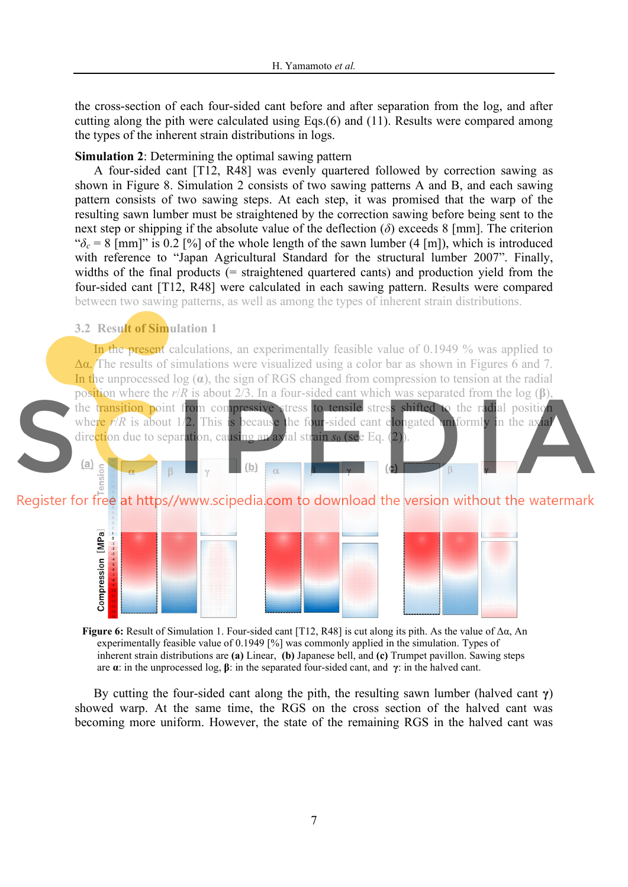the cross-section of each four-sided cant before and after separation from the log, and after cutting along the pith were calculated using Eqs.(6) and (11). Results were compared among the types of the inherent strain distributions in logs.

## **Simulation 2**: Determining the optimal sawing pattern

A four-sided cant [T12, R48] was evenly quartered followed by correction sawing as shown in Figure 8. Simulation 2 consists of two sawing patterns A and B, and each sawing pattern consists of two sawing steps. At each step, it was promised that the warp of the resulting sawn lumber must be straightened by the correction sawing before being sent to the next step or shipping if the absolute value of the deflection  $(\delta)$  exceeds 8 [mm]. The criterion " $\delta_c$  = 8 [mm]" is 0.2 [%] of the whole length of the sawn lumber (4 [m]), which is introduced with reference to "Japan Agricultural Standard for the structural lumber 2007". Finally, widths of the final products (= straightened quartered cants) and production yield from the four-sided cant [T12, R48] were calculated in each sawing pattern. Results were compared between two sawing patterns, as well as among the types of inherent strain distributions.

## **3.2 Result of Simulation 1**

 $(a)$ 

nsion

In the present calculations, an experimentally feasible value of 0.1949 % was applied to  $\Delta \alpha$ . The results of simulations were visualized using a color bar as shown in Figures 6 and 7. In the unprocessed log (**α**), the sign of RGS changed from compression to tension at the radial position where the *r*/*R* is about 2/3. In a four-sided cant which was separated from the log (**β**), the transition point from compressive stress to tensile stress shifted to the radial position where  $r/R$  is about  $1/2$ . This is because the four-sided cant elongated uniformly in the axial direction due to separation, causing an axial strain *s*<sub>0</sub> (see Eq. (2)).

Register for free at https//www.scipedia.com to download the version without the watermark

 $(b)$ 



**Figure 6:** Result of Simulation 1. Four-sided cant [T12, R48] is cut along its pith. As the value of Δα, An experimentally feasible value of 0.1949 [%] was commonly applied in the simulation. Types of inherent strain distributions are **(a)** Linear, **(b)** Japanese bell, and **(c)** Trumpet pavillon. Sawing steps are **α**: in the unprocessed log, **β**: in the separated four-sided cant, and **γ**: in the halved cant.

By cutting the four-sided cant along the pith, the resulting sawn lumber (halved cant **γ**) showed warp. At the same time, the RGS on the cross section of the halved cant was becoming more uniform. However, the state of the remaining RGS in the halved cant was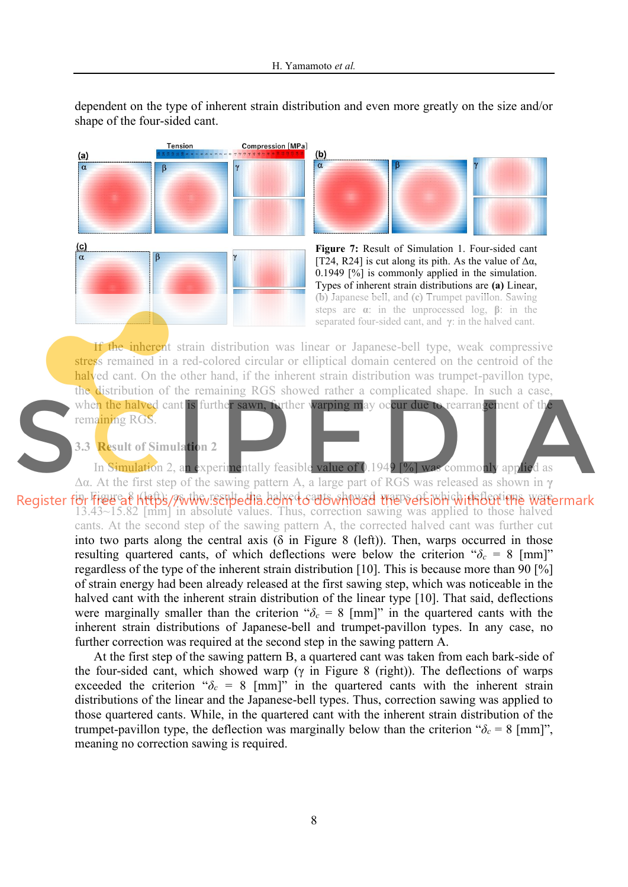dependent on the type of inherent strain distribution and even more greatly on the size and/or shape of the four-sided cant.







If the inherent strain distribution was linear or Japanese-bell type, weak compressive stress remained in a red-colored circular or elliptical domain centered on the centroid of the halved cant. On the other hand, if the inherent strain distribution was trumpet-pavillon type, the distribution of the remaining RGS showed rather a complicated shape. In such a case, when the halved cant is further sawn, further warping may occur due to rearrangement of the



remaining RGS.

**3.3 Result of Simulation 2** 

In Simulation 2, an experimentally feasible value of 0.1949 [%] was commonly applied as Δα. At the first step of the sawing pattern A, a large part of RGS was released as shown in **γ**

Register för Figura KltBs/Awthwisenbedia.dom do als which the hard cantidations watermark 13.43~15.82 [mm] in absolute values. Thus, correction sawing was applied to those halved cants. At the second step of the sawing pattern A, the corrected halved cant was further cut into two parts along the central axis ( $\delta$  in Figure 8 (left)). Then, warps occurred in those resulting quartered cants, of which deflections were below the criterion " $\delta_c = 8$  [mm]" regardless of the type of the inherent strain distribution [10]. This is because more than 90 [%] of strain energy had been already released at the first sawing step, which was noticeable in the halved cant with the inherent strain distribution of the linear type [10]. That said, deflections were marginally smaller than the criterion " $\delta_c = 8$  [mm]" in the quartered cants with the inherent strain distributions of Japanese-bell and trumpet-pavillon types. In any case, no further correction was required at the second step in the sawing pattern A.

At the first step of the sawing pattern B, a quartered cant was taken from each bark-side of the four-sided cant, which showed warp ( $\gamma$  in Figure 8 (right)). The deflections of warps exceeded the criterion " $\delta_c$  = 8 [mm]" in the quartered cants with the inherent strain distributions of the linear and the Japanese-bell types. Thus, correction sawing was applied to those quartered cants. While, in the quartered cant with the inherent strain distribution of the trumpet-pavillon type, the deflection was marginally below than the criterion " $\delta_c = 8$  [mm]", meaning no correction sawing is required.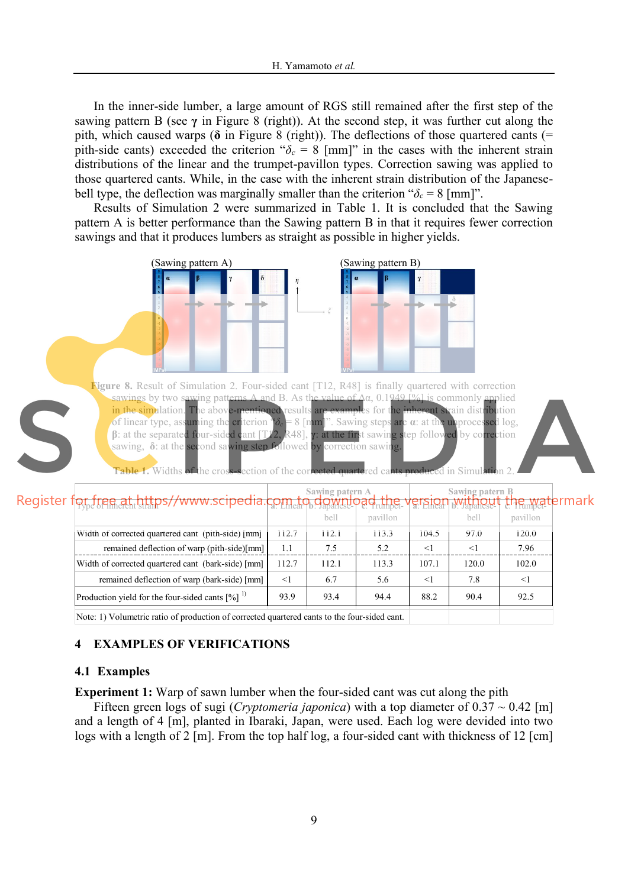In the inner-side lumber, a large amount of RGS still remained after the first step of the sawing pattern B (see **γ** in Figure 8 (right)). At the second step, it was further cut along the pith, which caused warps ( $\delta$  in Figure 8 (right)). The deflections of those quartered cants (= pith-side cants) exceeded the criterion " $\delta_c = 8$  [mm]" in the cases with the inherent strain distributions of the linear and the trumpet-pavillon types. Correction sawing was applied to those quartered cants. While, in the case with the inherent strain distribution of the Japanesebell type, the deflection was marginally smaller than the criterion " $\delta_c = 8$  [mm]".

Results of Simulation 2 were summarized in Table 1. It is concluded that the Sawing pattern A is better performance than the Sawing pattern B in that it requires fewer correction sawings and that it produces lumbers as straight as possible in higher yields.



|                                                                                                                                                                                                                                  |       | UVIL  | LA VIIIVII |          | UULL   | 1. JULI VII VII |
|----------------------------------------------------------------------------------------------------------------------------------------------------------------------------------------------------------------------------------|-------|-------|------------|----------|--------|-----------------|
| Width of corrected quartered cant (pith-side) [mm]                                                                                                                                                                               | 112.7 | 112.1 | 113.3      | 104.5    | 97.0   | 120.0           |
| remained deflection of warp (pith-side)[mm]                                                                                                                                                                                      | 1.1   | 7.5   | 5.2        | $\leq$ 1 | $\leq$ | 7.96            |
| Width of corrected quartered cant (bark-side) [mm]                                                                                                                                                                               | 112.7 | 112.1 | 113.3      | 107.1    | 120.0  | 102.0           |
| remained deflection of warp (bark-side) [mm]                                                                                                                                                                                     | $<$ 1 | 6.7   | 5.6        | $\leq$ 1 | 7.8    | $\leq$          |
| Production yield for the four-sided cants $[%]$ <sup>1)</sup>                                                                                                                                                                    | 93.9  | 93.4  | 94.4       | 88.2     | 90.4   | 92.5            |
| $\mathbf{M}$ and the contract in the contract of the contract of the contract of the contract of the contract of the contract of the contract of the contract of the contract of the contract of the contract of the contract of |       |       |            |          |        |                 |

Note: 1) Volumetric ratio of production of corrected quartered cants to the four-sided cant.

## **4 EXAMPLES OF VERIFICATIONS**

## **4.1 Examples**

**Experiment 1:** Warp of sawn lumber when the four-sided cant was cut along the pith

Fifteen green logs of sugi (*Cryptomeria japonica*) with a top diameter of  $0.37 \sim 0.42$  [m] and a length of 4 [m], planted in Ibaraki, Japan, were used. Each log were devided into two logs with a length of 2 [m]. From the top half log, a four-sided cant with thickness of 12 [cm]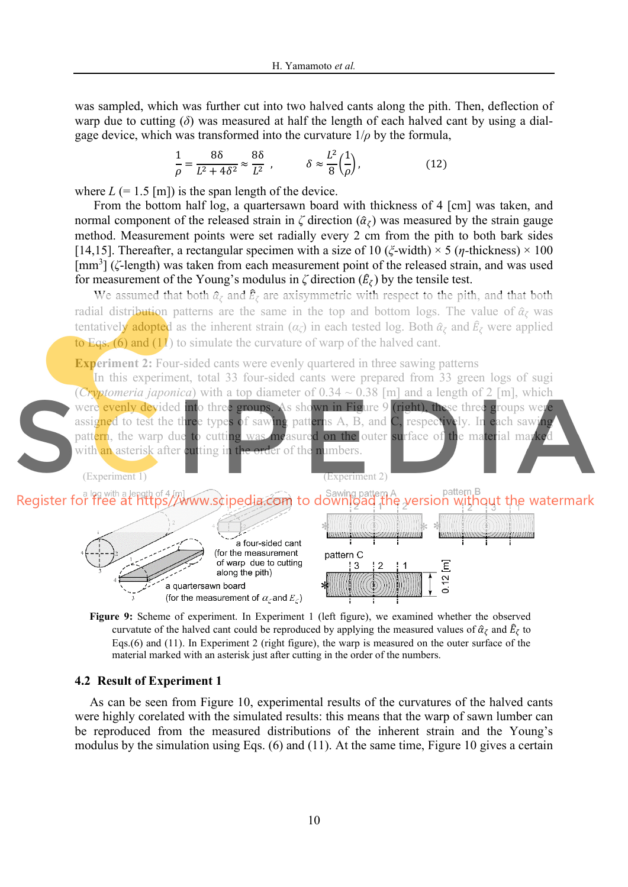was sampled, which was further cut into two halved cants along the pith. Then, deflection of warp due to cutting (*δ*) was measured at half the length of each halved cant by using a dialgage device, which was transformed into the curvature  $1/\rho$  by the formula,

$$
\frac{1}{\rho} = \frac{8\delta}{L^2 + 4\delta^2} \approx \frac{8\delta}{L^2} \ , \qquad \delta \approx \frac{L^2}{8} \left(\frac{1}{\rho}\right), \tag{12}
$$

where  $L$  (= 1.5 [m]) is the span length of the device.

From the bottom half log, a quartersawn board with thickness of 4 [cm] was taken, and normal component of the released strain in  $\zeta$  direction  $(\hat{\alpha}_{\zeta})$  was measured by the strain gauge method. Measurement points were set radially every 2 cm from the pith to both bark sides [14,15]. Thereafter, a rectangular specimen with a size of 10 (*ξ*-width) × 5 (*η-*thickness) × 100 [mm<sup>3</sup>] (ζ-length) was taken from each measurement point of the released strain, and was used for measurement of the Young's modulus in  $\zeta$  direction  $(\hat{E}_{\zeta})$  by the tensile test.

We assumed that both  $\hat{\alpha}_{\zeta}$  and  $\hat{E}_{\zeta}$  are axisymmetric with respect to the pith, and that both radial distribution patterns are the same in the top and bottom logs. The value of  $\hat{\alpha}_{\zeta}$  was tentatively adopted as the inherent strain (*αζ*) in each tested log. Both  $\hat{a}_{\zeta}$  and  $\hat{E}_{\zeta}$  were applied to Eqs. (6) and  $(11)$  to simulate the curvature of warp of the halved cant.

**Experiment 2:** Four-sided cants were evenly quartered in three sawing patterns

In this experiment, total 33 four-sided cants were prepared from 33 green logs of sugi (*Cryptomeria japonica*) with a top diameter of  $0.34 \sim 0.38$  [m] and a length of 2 [m], which were evenly devided into three groups. As shown in Figure 9 (right), these three groups were assigned to test the three types of sawing patterns A, B, and C, respectively. In each sawing pattern, the warp due to cutting was measured on the outer surface of the material marked with an asterisk after cutting in the order of the numbers.



**Figure 9:** Scheme of experiment. In Experiment 1 (left figure), we examined whether the observed curvatute of the halved cant could be reproduced by applying the measured values of  $\hat{\alpha}_{\zeta}$  and  $\hat{E}_{\zeta}$  to Eqs.(6) and (11). In Experiment 2 (right figure), the warp is measured on the outer surface of the material marked with an asterisk just after cutting in the order of the numbers.

## **4.2 Result of Experiment 1**

As can be seen from Figure 10, experimental results of the curvatures of the halved cants were highly corelated with the simulated results: this means that the warp of sawn lumber can be reproduced from the measured distributions of the inherent strain and the Young's modulus by the simulation using Eqs. (6) and (11). At the same time, Figure 10 gives a certain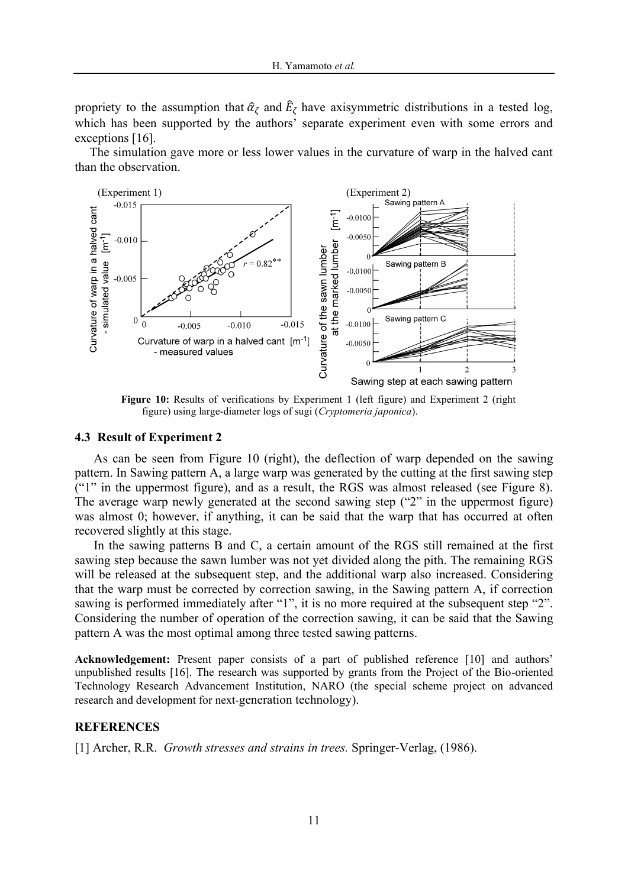propriety to the assumption that  $\hat{\alpha}_{\zeta}$  and  $E_{\zeta}$  have axisymmetric distributions in a tested log, which has been supported by the authors' separate experiment even with some errors and exceptions [16].

The simulation gave more or less lower values in the curvature of warp in the halved cant than the observation.



 **Figure 10:** Results of verifications by Experiment 1 (left figure) and Experiment 2 (right figure) using large-diameter logs of sugi (*Cryptomeria japonica*).

#### **4.3 Result of Experiment 2**

As can be seen from Figure 10 (right), the deflection of warp depended on the sawing pattern. In Sawing pattern A, a large warp was generated by the cutting at the first sawing step ("1" in the uppermost figure), and as a result, the RGS was almost released (see Figure 8). The average warp newly generated at the second sawing step ("2" in the uppermost figure) was almost 0; however, if anything, it can be said that the warp that has occurred at often recovered slightly at this stage.

In the sawing patterns B and C, a certain amount of the RGS still remained at the first sawing step because the sawn lumber was not yet divided along the pith. The remaining RGS will be released at the subsequent step, and the additional warp also increased. Considering that the warp must be corrected by correction sawing, in the Sawing pattern A, if correction sawing is performed immediately after "1", it is no more required at the subsequent step "2". Considering the number of operation of the correction sawing, it can be said that the Sawing pattern A was the most optimal among three tested sawing patterns.

**Acknowledgement:** Present paper consists of a part of published reference [10] and authors' unpublished results [16]. The research was supported by grants from the Project of the Bio-oriented Technology Research Advancement Institution, NARO (the special scheme project on advanced research and development for next-generation technology).

#### **REFERENCES**

[1] Archer, R.R. *Growth stresses and strains in trees.* Springer-Verlag, (1986).